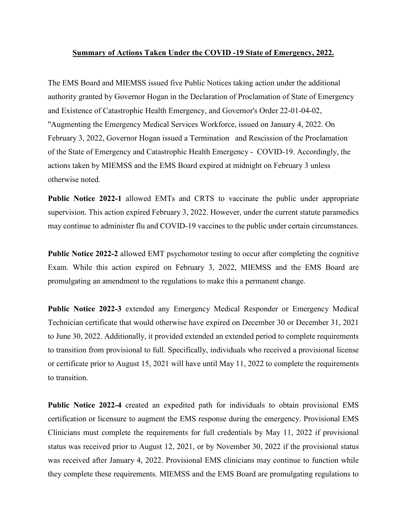## **Summary of Actions Taken Under the COVID -19 State of Emergency, 2022.**

The EMS Board and MIEMSS issued five Public Notices taking action under the additional authority granted by Governor Hogan in the Declaration of Proclamation of State of Emergency and Existence of Catastrophic Health Emergency, and Governor's Order 22-01-04-02, "Augmenting the Emergency Medical Services Workforce, issued on January 4, 2022. On February 3, 2022, Governor Hogan issued a Termination and Rescission of the Proclamation of the State of Emergency and Catastrophic Health Emergency - COVID-19. Accordingly, the actions taken by MIEMSS and the EMS Board expired at midnight on February 3 unless otherwise noted.

**Public Notice 2022-1** allowed EMTs and CRTS to vaccinate the public under appropriate supervision. This action expired February 3, 2022. However, under the current statute paramedics may continue to administer flu and COVID-19 vaccines to the public under certain circumstances.

**Public Notice 2022-2** allowed EMT psychomotor testing to occur after completing the cognitive Exam. While this action expired on February 3, 2022, MIEMSS and the EMS Board are promulgating an amendment to the regulations to make this a permanent change.

**Public Notice 2022-3** extended any Emergency Medical Responder or Emergency Medical Technician certificate that would otherwise have expired on December 30 or December 31, 2021 to June 30, 2022. Additionally, it provided extended an extended period to complete requirements to transition from provisional to full. Specifically, individuals who received a provisional license or certificate prior to August 15, 2021 will have until May 11, 2022 to complete the requirements to transition.

**Public Notice 2022-4** created an expedited path for individuals to obtain provisional EMS certification or licensure to augment the EMS response during the emergency. Provisional EMS Clinicians must complete the requirements for full credentials by May 11, 2022 if provisional status was received prior to August 12, 2021, or by November 30, 2022 if the provisional status was received after January 4, 2022. Provisional EMS clinicians may continue to function while they complete these requirements. MIEMSS and the EMS Board are promulgating regulations to